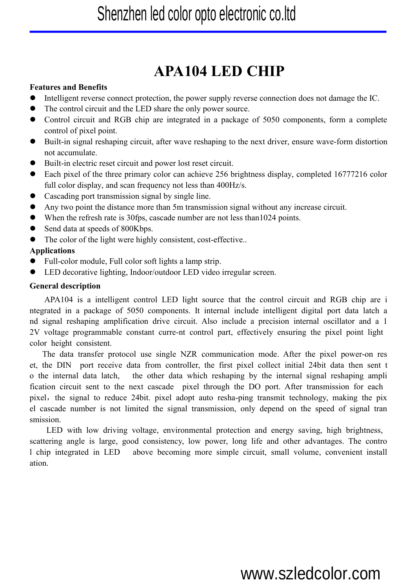# **APA104 LED CHIP**

## **Features and Benefits**

- Intelligent reverse connect protection, the power supply reverse connection does not damage the IC.
- The control circuit and the LED share the only power source.
- Control circuit and RGB chip are integrated in a package of 5050 components, form a complete control of pixel point.
- Built-in signal reshaping circuit, after wave reshaping to the next driver, ensure wave-form distortion not accumulate.
- Built-in electric reset circuit and power lost reset circuit.
- Each pixel of the three primary color can achieve 256 brightness display, completed 16777216 color full color display, and scan frequency not less than 400Hz/s.
- Cascading port transmission signal by single line.
- Any two point the distance more than 5m transmissionsignal without any increase circuit.
- When the refresh rate is 30fps, cascade number are not less than1024 points.
- Send data at speeds of 800Kbps.
- The color of the light were highly consistent, cost-effective..

## **Applications**

- Full-color module, Full color soft lights a lamp strip.
- LED decorative lighting, Indoor/outdoor LED video irregular screen.

## **General description**

APA104 is a intelligent control LED light source that the control circuit and RGB chip are i ntegrated in a package of 5050 components. It internal include intelligent digital port data latch a nd signal reshaping amplification drive circuit. Also include a precision internal oscillator and a 1 2V voltage programmable constant curre-nt control part, effectively ensuring the pixel point light color height consistent.

The data transfer protocol use single NZR communication mode. After the pixel power-on res et, the DIN port receive data from controller, the first pixel collect initial 24bit data then sent t o the internal data latch, the other data which reshaping by the internal signal reshaping ampli fication circuit sent to the next cascade pixel through the DO port. After transmission for each pixel, the signal to reduce 24bit. pixel adopt auto resha-ping transmit technology, making the pix el cascade number is not limited the signal transmission, only depend on the speed of signal tran smission.

LED with low driving voltage, environmental protection and energy saving, high brightness, scattering angle is large, good consistency, low power, long life and other advantages. The contro l chip integrated in LED above becoming more simple circuit, small volume, convenient install ation.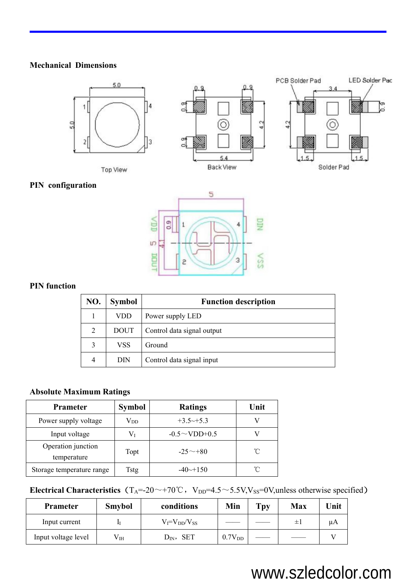#### **Mechanical Dimensions**



# **PIN configuration**



### **PIN function**

| NO. | <b>Symbol</b> | <b>Function description</b> |
|-----|---------------|-----------------------------|
|     | <b>VDD</b>    | Power supply LED            |
| 2   | <b>DOUT</b>   | Control data signal output  |
|     | VSS           | Ground                      |
| 4   | DIN           | Control data signal input   |

## **Absolute Maximum Ratings**

| <b>Prameter</b>                   | <b>Symbol</b> | <b>Ratings</b>          | Unit            |
|-----------------------------------|---------------|-------------------------|-----------------|
| Power supply voltage              | $V_{DD}$      | $+3.5 \rightarrow +5.3$ |                 |
| Input voltage                     | $\rm V_I$     | $-0.5 \sim$ VDD+0.5     |                 |
| Operation junction<br>temperature | Topt          | $-25 \sim +80$          | $\rm ^{\circ}C$ |
| Storage temperature range         | Tstg          | $-40 \rightarrow 150$   | $^{\circ}$ C    |

# **Electrical Characteristics** (T<sub>A</sub>=-20~+70℃, V<sub>DD</sub>=4.5~5.5V,V<sub>SS</sub>=0V,unless otherwise specified)

| <b>Prameter</b>     | <b>Smybol</b> | conditions            | Min                | Tpy | <b>Max</b> | Unit |
|---------------------|---------------|-----------------------|--------------------|-----|------------|------|
| Input current       | П             | $V_I = V_{DD}/V_{SS}$ |                    |     | ≔ւ         | μA   |
| Input voltage level | $V_{IH}$      | $D_{IN}$ , SET        | 0.7V <sub>DD</sub> |     |            |      |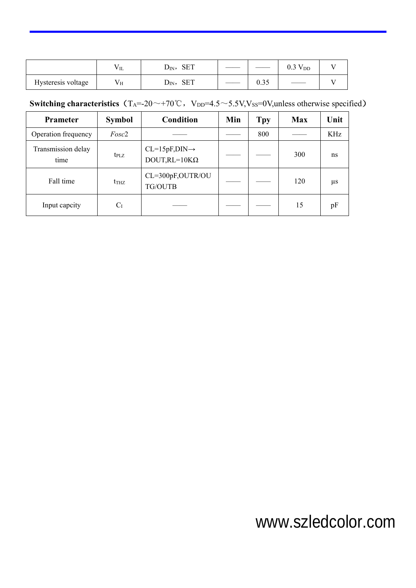|                                    | - -<br>$V$ IL                        | $\alpha$ r $\pi$<br>-SE I<br>$\mathbf{D_{IN}},$ |                                  | $\bigcap$ $\bigcap$ $\bigcup$<br>V <sub>DD</sub><br>U.J |  |
|------------------------------------|--------------------------------------|-------------------------------------------------|----------------------------------|---------------------------------------------------------|--|
| $\mathbf{v}$<br>Hysteresis voltage | - -<br>$V_{\mathcal{I}}$<br>$\cdots$ | <b>SET</b><br>$D_{IN}$                          | $\wedge$ $\wedge$ $\sim$<br>0.95 |                                                         |  |

# **Switching characteristics** (T<sub>A</sub>=-20~+70℃, V<sub>DD</sub>=4.5~5.5V,V<sub>SS</sub>=0V,unless otherwise specified)

| <b>Prameter</b>            | <b>Symbol</b>    | <b>Condition</b>                                  | Min | <b>Tpy</b> | <b>Max</b> | Unit    |
|----------------------------|------------------|---------------------------------------------------|-----|------------|------------|---------|
| Operation frequency        | Fosc2            |                                                   |     | 800        |            | KHz     |
| Transmission delay<br>time | $t_{\text{PLZ}}$ | $CL=15pF, DIN\rightarrow$<br>$DOUT, RL=10K\Omega$ |     |            | 300        | ns      |
| Fall time                  | $t_{THZ}$        | CL=300pF,OUTR/OU<br>TG/OUTB                       |     |            | 120        | $\mu$ s |
| Input capcity              | $C_I$            |                                                   |     |            | 15         | pF      |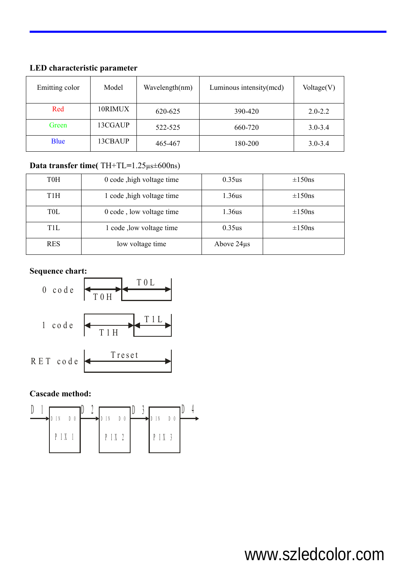| Emitting color | Model   | Wavelength(nm) | Luminous intensity(mcd) | Voltage(V)  |
|----------------|---------|----------------|-------------------------|-------------|
| Red            | 10RIMUX | 620-625        | 390-420                 | $2.0 - 2.2$ |
| Green          | 13CGAUP | 522-525        | 660-720                 | $3.0 - 3.4$ |
| <b>Blue</b>    | 13CBAUP | 465-467        | 180-200                 | $3.0 - 3.4$ |

# **LED characteristic parameter**

# **Data transfer time(** TH+TL**=**1.25µs±600ns)

| T0H              | 0 code , high voltage time | 0.35us          | $\pm 150$ ns |
|------------------|----------------------------|-----------------|--------------|
| T <sub>1</sub> H | 1 code , high voltage time | 1.36us          | $\pm 150$ ns |
| <b>TOL</b>       | 0 code, low voltage time   | 1.36us          | $\pm 150$ ns |
| T1L              | 1 code , low voltage time  | 0.35us          | $\pm 150$ ns |
| <b>RES</b>       | low voltage time           | Above $24\mu s$ |              |

# **Sequence chart:**



## **Cascade method:**

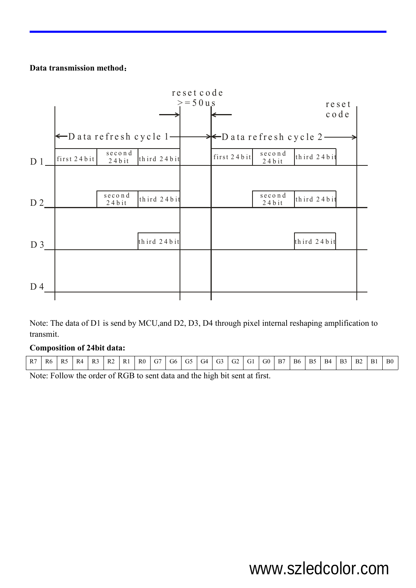#### **Data transmission method**:



Note: The data of D1 is send by MCU,and D2, D3, D4 through pixel internal reshaping amplification to transmit.

#### **Composition of 24bit data:**

Note: Follow the order of RGB to sent data and the high bit sent at first.